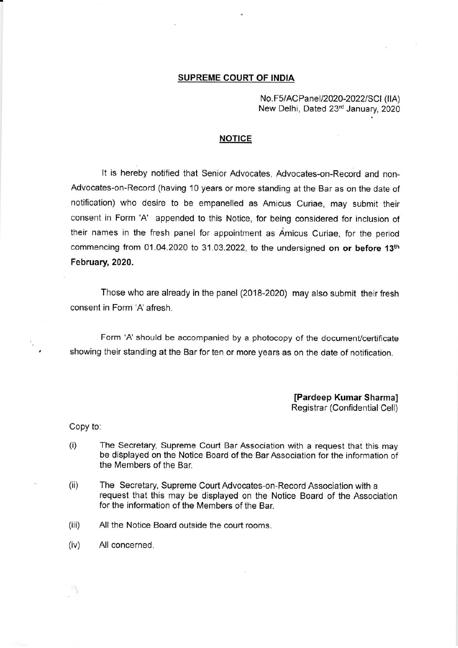## SUPREME COURT OF INDIA

No.F5/ACPanel/2020-2022/SCI(IIA) New Delhi, Dated 23rd January, 2020

## NOTICE

It is hereby notified that Senior Advocates, Advocates-on-Record and non-Advocates-on-Record (having 10 years or more standing at the Bar as on the date of notification) who desire to be empanelled as Amicus Curiae, may submit their consent in Form 'A' appended to this Notice, for being considered for inclusion of their names in the fresh panel for appointment as Amicus Curiae, for the period commencing from 01.04.2020 to 31.03.2022, to the undersigned on or before 13<sup>th</sup> February, 2020.

Those who are already in the panel (2018-2020) may also submit their fresh consent in Form 'A' afresh.

Form 'A' should be accompanied by a photocopy of the document/certificate showing their standing at the Bar for ten or more years as on the date of notification.

> [Pardeep Kumar Sharma] Registrar (Confidential Cell)

Copy to:

- (i) The Secretary, Supreme Court Bar Association with a request that this may be di\$played on the Notice Board of the Bar Association for the information of the Members of the Bar.
- (ii) The Secretary, Supreme Court Advocates-on-Record Association with a request that this may be displayed on the Notice Board of the Association for the information of the Members of the Bar.
- (iii) All the Notice Board outside the court rooms.
- (iv) All concerned.